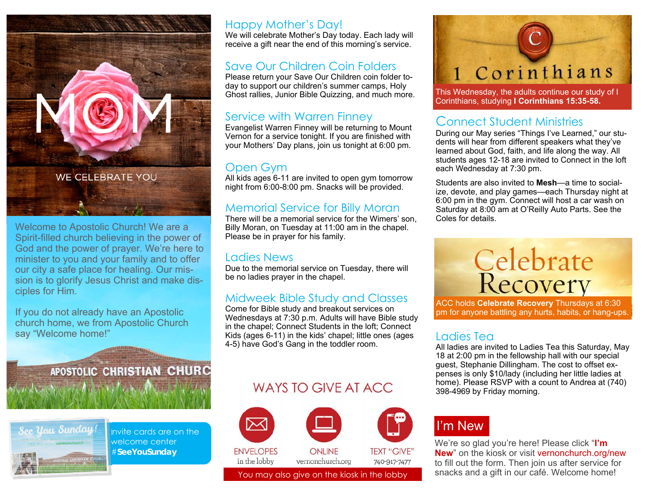

Welcome to Apostolic Church! We are a Spirit-filled church believing in the power of God and the power of prayer. We're here to minister to you and your family and to offer our city a safe place for healing. Our mission is to glorify Jesus Christ and make disciples for Him.

If you do not already have an Apostolic church home, we from Apostolic Church say "Welcome home!"

 $\mathbf{X} = \mathbf{I} \times \mathbf{A} + \mathbf{I} \times \mathbf{A}$ 

APOSTOLIC CHRISTIAN CHURC



Invite cards are on the welcome center #**SeeYouSunday** 

#### Happy Mother's Day!

We will celebrate Mother's Day today. Each lady will receive a gift near the end of this morning's service.

#### Save Our Children Coin Folders

Please return your Save Our Children coin folder today to support our children's summer camps, Holy Ghost rallies, Junior Bible Quizzing, and much more.

#### Service with Warren Finney

Evangelist Warren Finney will be returning to Mount Vernon for a service tonight. If you are finished with your Mothers' Day plans, join us tonight at 6:00 pm.

#### Open Gym

All kids ages 6-11 are invited to open gym tomorrow night from 6:00-8:00 pm. Snacks will be provided.

#### Memorial Service for Billy Moran

There will be a memorial service for the Wimers' son, Billy Moran, on Tuesday at 11:00 am in the chapel. Please be in prayer for his family.

#### Ladies News

Due to the memorial service on Tuesday, there will be no ladies prayer in the chapel.

#### Midweek Bible Study and Classes

Come for Bible study and breakout services on Wednesdays at 7:30 p.m. Adults will have Bible study in the chapel; Connect Students in the loft; Connect Kids (ages 6-11) in the kids' chapel; little ones (ages 4-5) have God's Gang in the toddler room.

### WAYS TO GIVE AT ACC.





This Wednesday, the adults continue our study of I Corinthians, studying **I Corinthians 15:35-58.**

### Connect Student Ministries

During our May series "Things I've Learned," our students will hear from different speakers what they've learned about God, faith, and life along the way. All students ages 12-18 are invited to Connect in the loft each Wednesday at 7:30 pm.

Students are also invited to **Mesh**—a time to socialize, devote, and play games—each Thursday night at 6:00 pm in the gym. Connect will host a car wash on Saturday at 8:00 am at O'Reilly Auto Parts. See the Coles for details.



ACC holds **Celebrate Recovery** Thursdays at 6:30 pm for anyone battling any hurts, habits, or hang-ups.

#### Ladies Tea

All ladies are invited to Ladies Tea this Saturday, May 18 at 2:00 pm in the fellowship hall with our special guest, Stephanie Dillingham. The cost to offset expenses is only \$10/lady (including her little ladies at home). Please RSVP with a count to Andrea at (740) 398-4969 by Friday morning.

## I'm New

We're so glad you're here! Please click "**I'm New**" on the kiosk or visit vernonchurch.org/new to fill out the form. Then join us after service for You may also give on the kiosk in the lobby snacks and a gift in our café. Welcome home!